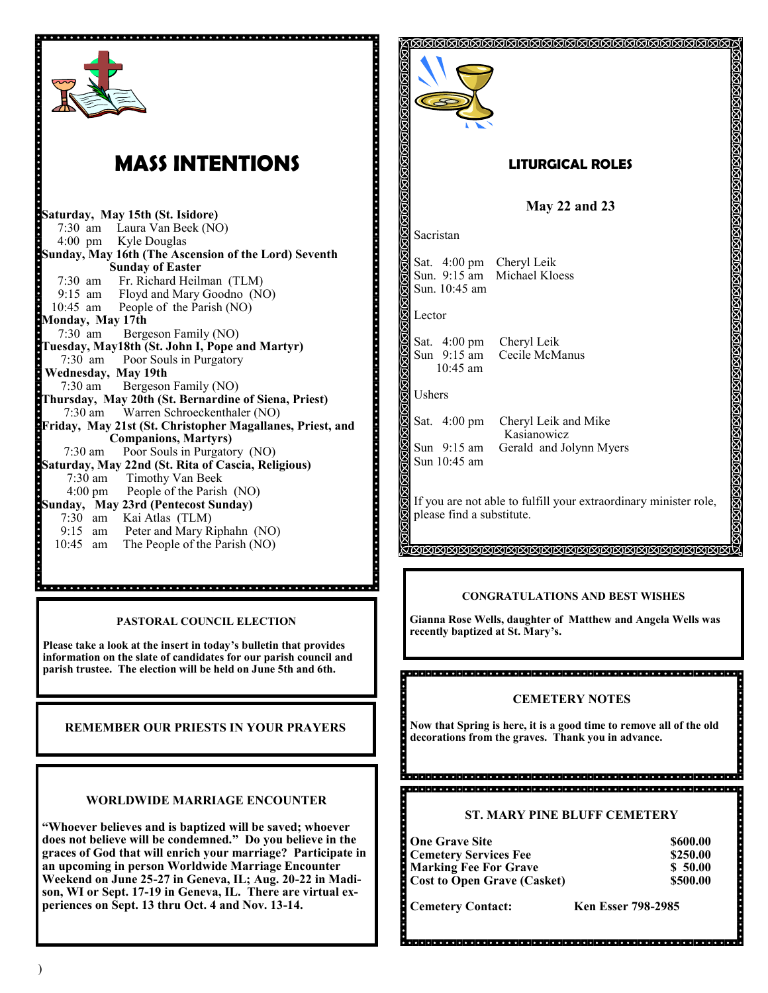

)

**periences on Sept. 13 thru Oct. 4 and Nov. 13-14.**

**Cemetery Contact: Ken Esser 798-2985**